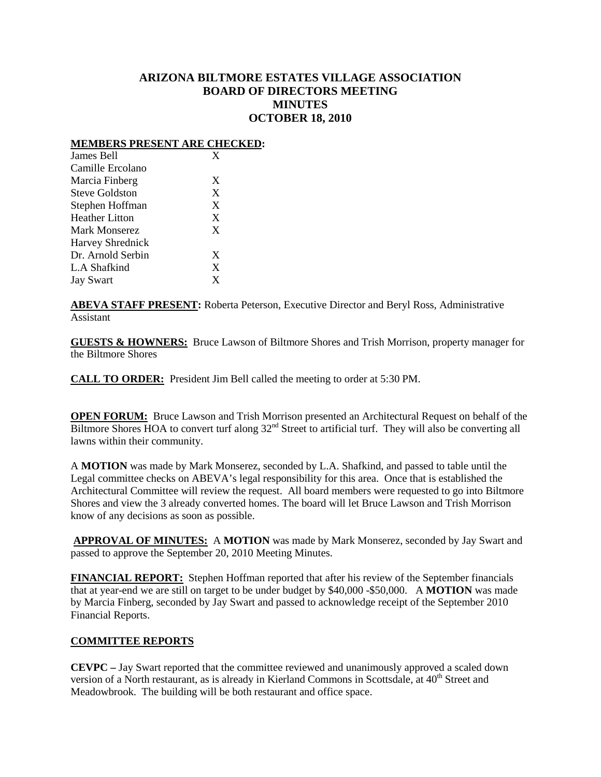## **ARIZONA BILTMORE ESTATES VILLAGE ASSOCIATION BOARD OF DIRECTORS MEETING MINUTES OCTOBER 18, 2010**

## **MEMBERS PRESENT ARE CHECKED:**

| James Bell              | X |
|-------------------------|---|
| Camille Ercolano        |   |
| Marcia Finberg          | X |
| <b>Steve Goldston</b>   | X |
| Stephen Hoffman         | X |
| <b>Heather Litton</b>   | X |
| Mark Monserez           | X |
| <b>Harvey Shrednick</b> |   |
| Dr. Arnold Serbin       | X |
| L.A Shafkind            | X |
| <b>Jay Swart</b>        | X |
|                         |   |

**ABEVA STAFF PRESENT:** Roberta Peterson, Executive Director and Beryl Ross, Administrative Assistant

**GUESTS & HOWNERS:** Bruce Lawson of Biltmore Shores and Trish Morrison, property manager for the Biltmore Shores

**CALL TO ORDER:** President Jim Bell called the meeting to order at 5:30 PM.

**OPEN FORUM:** Bruce Lawson and Trish Morrison presented an Architectural Request on behalf of the Biltmore Shores HOA to convert turf along 32<sup>nd</sup> Street to artificial turf. They will also be converting all lawns within their community.

A **MOTION** was made by Mark Monserez, seconded by L.A. Shafkind, and passed to table until the Legal committee checks on ABEVA's legal responsibility for this area. Once that is established the Architectural Committee will review the request. All board members were requested to go into Biltmore Shores and view the 3 already converted homes. The board will let Bruce Lawson and Trish Morrison know of any decisions as soon as possible.

**APPROVAL OF MINUTES:** A **MOTION** was made by Mark Monserez, seconded by Jay Swart and passed to approve the September 20, 2010 Meeting Minutes.

**FINANCIAL REPORT:** Stephen Hoffman reported that after his review of the September financials that at year-end we are still on target to be under budget by \$40,000 -\$50,000. A **MOTION** was made by Marcia Finberg, seconded by Jay Swart and passed to acknowledge receipt of the September 2010 Financial Reports.

## **COMMITTEE REPORTS**

**CEVPC –** Jay Swart reported that the committee reviewed and unanimously approved a scaled down version of a North restaurant, as is already in Kierland Commons in Scottsdale, at 40<sup>th</sup> Street and Meadowbrook. The building will be both restaurant and office space.